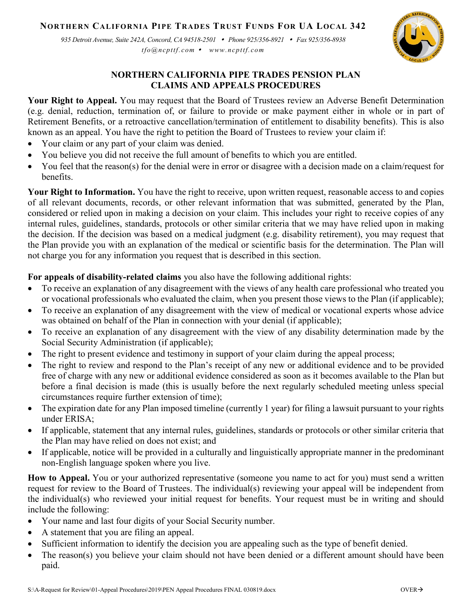## **NORTHERN CALIFORNIA PIPE TRADES TRUST FUNDS FOR UA LOCAL 342**

*935 Detroit Avenue, Suite 242A, Concord, CA 94518-2501 Phone 925/356-8921 Fax 925/356-8938 tfo@ncpttf.com www.ncpttf.com*



## **NORTHERN CALIFORNIA PIPE TRADES PENSION PLAN CLAIMS AND APPEALS PROCEDURES**

**Your Right to Appeal.** You may request that the Board of Trustees review an Adverse Benefit Determination (e.g. denial, reduction, termination of, or failure to provide or make payment either in whole or in part of Retirement Benefits, or a retroactive cancellation/termination of entitlement to disability benefits). This is also known as an appeal. You have the right to petition the Board of Trustees to review your claim if:

- Your claim or any part of your claim was denied.
- You believe you did not receive the full amount of benefits to which you are entitled.
- You feel that the reason(s) for the denial were in error or disagree with a decision made on a claim/request for benefits.

**Your Right to Information.** You have the right to receive, upon written request, reasonable access to and copies of all relevant documents, records, or other relevant information that was submitted, generated by the Plan, considered or relied upon in making a decision on your claim. This includes your right to receive copies of any internal rules, guidelines, standards, protocols or other similar criteria that we may have relied upon in making the decision. If the decision was based on a medical judgment (e.g. disability retirement), you may request that the Plan provide you with an explanation of the medical or scientific basis for the determination. The Plan will not charge you for any information you request that is described in this section.

**For appeals of disability-related claims** you also have the following additional rights:

- To receive an explanation of any disagreement with the views of any health care professional who treated you or vocational professionals who evaluated the claim, when you present those views to the Plan (if applicable);
- To receive an explanation of any disagreement with the view of medical or vocational experts whose advice was obtained on behalf of the Plan in connection with your denial (if applicable);
- To receive an explanation of any disagreement with the view of any disability determination made by the Social Security Administration (if applicable);
- The right to present evidence and testimony in support of your claim during the appeal process;
- The right to review and respond to the Plan's receipt of any new or additional evidence and to be provided free of charge with any new or additional evidence considered as soon as it becomes available to the Plan but before a final decision is made (this is usually before the next regularly scheduled meeting unless special circumstances require further extension of time);
- The expiration date for any Plan imposed timeline (currently 1 year) for filing a lawsuit pursuant to your rights under ERISA;
- If applicable, statement that any internal rules, guidelines, standards or protocols or other similar criteria that the Plan may have relied on does not exist; and
- If applicable, notice will be provided in a culturally and linguistically appropriate manner in the predominant non-English language spoken where you live.

**How to Appeal.** You or your authorized representative (someone you name to act for you) must send a written request for review to the Board of Trustees. The individual(s) reviewing your appeal will be independent from the individual(s) who reviewed your initial request for benefits. Your request must be in writing and should include the following:

- Your name and last four digits of your Social Security number.
- A statement that you are filing an appeal.
- Sufficient information to identify the decision you are appealing such as the type of benefit denied.
- The reason(s) you believe your claim should not have been denied or a different amount should have been paid.